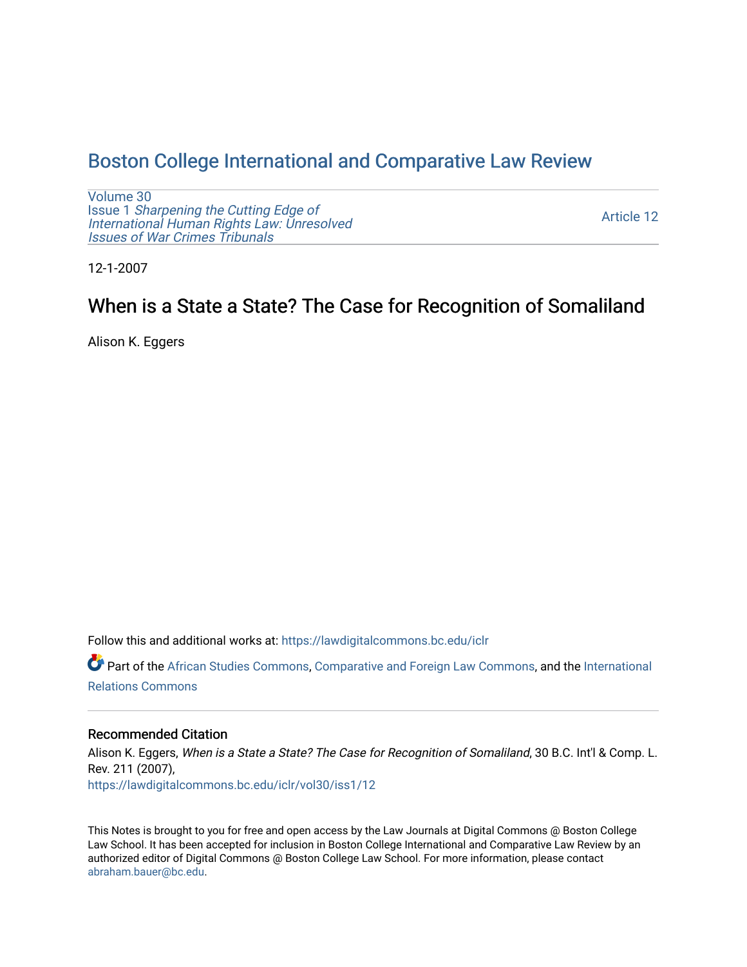## [Boston College International and Comparative Law Review](https://lawdigitalcommons.bc.edu/iclr)

[Volume 30](https://lawdigitalcommons.bc.edu/iclr/vol30) Issue 1 [Sharpening the Cutting Edge of](https://lawdigitalcommons.bc.edu/iclr/vol30/iss1) [International Human Rights Law: Unresolved](https://lawdigitalcommons.bc.edu/iclr/vol30/iss1) [Issues of War Crimes Tribunals](https://lawdigitalcommons.bc.edu/iclr/vol30/iss1) 

[Article 12](https://lawdigitalcommons.bc.edu/iclr/vol30/iss1/12) 

12-1-2007

# When is a State a State? The Case for Recognition of Somaliland

Alison K. Eggers

Follow this and additional works at: [https://lawdigitalcommons.bc.edu/iclr](https://lawdigitalcommons.bc.edu/iclr?utm_source=lawdigitalcommons.bc.edu%2Ficlr%2Fvol30%2Fiss1%2F12&utm_medium=PDF&utm_campaign=PDFCoverPages) 

Part of the [African Studies Commons,](http://network.bepress.com/hgg/discipline/1043?utm_source=lawdigitalcommons.bc.edu%2Ficlr%2Fvol30%2Fiss1%2F12&utm_medium=PDF&utm_campaign=PDFCoverPages) [Comparative and Foreign Law Commons,](http://network.bepress.com/hgg/discipline/836?utm_source=lawdigitalcommons.bc.edu%2Ficlr%2Fvol30%2Fiss1%2F12&utm_medium=PDF&utm_campaign=PDFCoverPages) and the [International](http://network.bepress.com/hgg/discipline/389?utm_source=lawdigitalcommons.bc.edu%2Ficlr%2Fvol30%2Fiss1%2F12&utm_medium=PDF&utm_campaign=PDFCoverPages)  [Relations Commons](http://network.bepress.com/hgg/discipline/389?utm_source=lawdigitalcommons.bc.edu%2Ficlr%2Fvol30%2Fiss1%2F12&utm_medium=PDF&utm_campaign=PDFCoverPages) 

### Recommended Citation

Alison K. Eggers, When is a State a State? The Case for Recognition of Somaliland, 30 B.C. Int'l & Comp. L. Rev. 211 (2007), [https://lawdigitalcommons.bc.edu/iclr/vol30/iss1/12](https://lawdigitalcommons.bc.edu/iclr/vol30/iss1/12?utm_source=lawdigitalcommons.bc.edu%2Ficlr%2Fvol30%2Fiss1%2F12&utm_medium=PDF&utm_campaign=PDFCoverPages)

This Notes is brought to you for free and open access by the Law Journals at Digital Commons @ Boston College Law School. It has been accepted for inclusion in Boston College International and Comparative Law Review by an authorized editor of Digital Commons @ Boston College Law School. For more information, please contact [abraham.bauer@bc.edu.](mailto:abraham.bauer@bc.edu)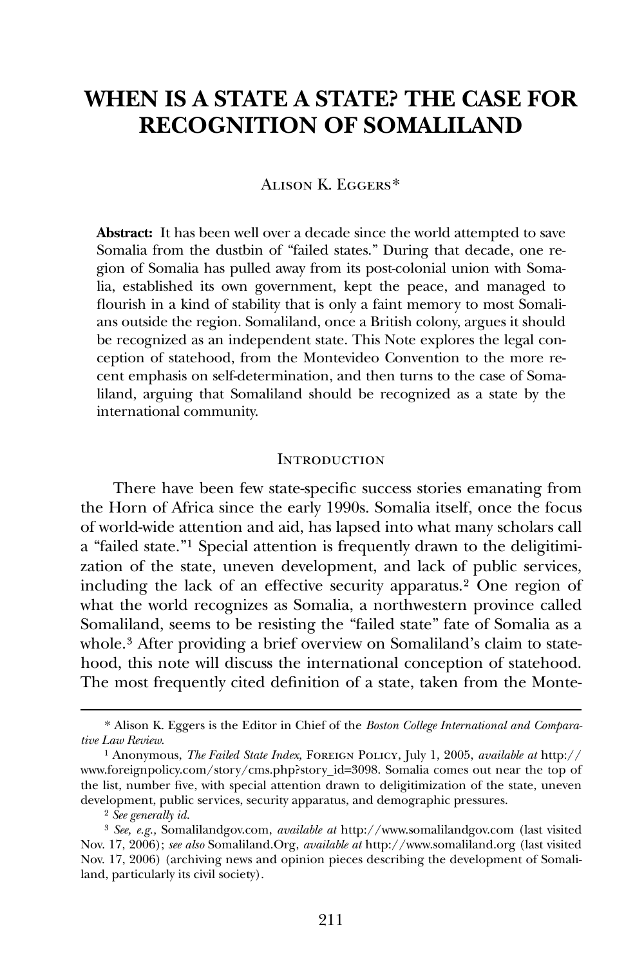## **WHEN IS A STATE A STATE? THE CASE FOR RECOGNITION OF SOMALILAND**

#### Alison K. Eggers[\\*](#page-1-0)

**Abstract:** It has been well over a decade since the world attempted to save Somalia from the dustbin of "failed states." During that decade, one region of Somalia has pulled away from its post-colonial union with Somalia, established its own government, kept the peace, and managed to flourish in a kind of stability that is only a faint memory to most Somalians outside the region. Somaliland, once a British colony, argues it should be recognized as an independent state. This Note explores the legal conception of statehood, from the Montevideo Convention to the more recent emphasis on self-determination, and then turns to the case of Somaliland, arguing that Somaliland should be recognized as a state by the international community.

#### **INTRODUCTION**

There have been few state-specific success stories emanating from the Horn of Africa since the early 1990s. Somalia itself, once the focus of world-wide attention and aid, has lapsed into what many scholars call a "failed state."[1](#page-1-1) Special attention is frequently drawn to the deligitimization of the state, uneven development, and lack of public services, including the lack of an effective security apparatus.[2](#page-1-2) One region of what the world recognizes as Somalia, a northwestern province called Somaliland, seems to be resisting the "failed state" fate of Somalia as a whole.<sup>[3](#page-1-3)</sup> After providing a brief overview on Somaliland's claim to statehood, this note will discuss the international conception of statehood. The most frequently cited definition of a state, taken from the Monte-

<span id="page-1-0"></span><sup>\*</sup> Alison K. Eggers is the Editor in Chief of the *Boston College International and Comparative Law Review*.

<span id="page-1-1"></span><sup>1</sup> Anonymous, *The Failed State Index,* Foreign Policy, July 1, 2005, *available at* http:// www.foreignpolicy.com/story/cms.php?story\_id=3098. Somalia comes out near the top of the list, number five, with special attention drawn to deligitimization of the state, uneven development, public services, security apparatus, and demographic pressures.

<sup>2</sup> *See generally id.*

<span id="page-1-3"></span><span id="page-1-2"></span><sup>3</sup> *See, e.g.,* Somalilandgov.com, *available at* http://www.somalilandgov.com (last visited Nov. 17, 2006); *see also* Somaliland.Org, *available at* http://www.somaliland.org (last visited Nov. 17, 2006) (archiving news and opinion pieces describing the development of Somaliland, particularly its civil society).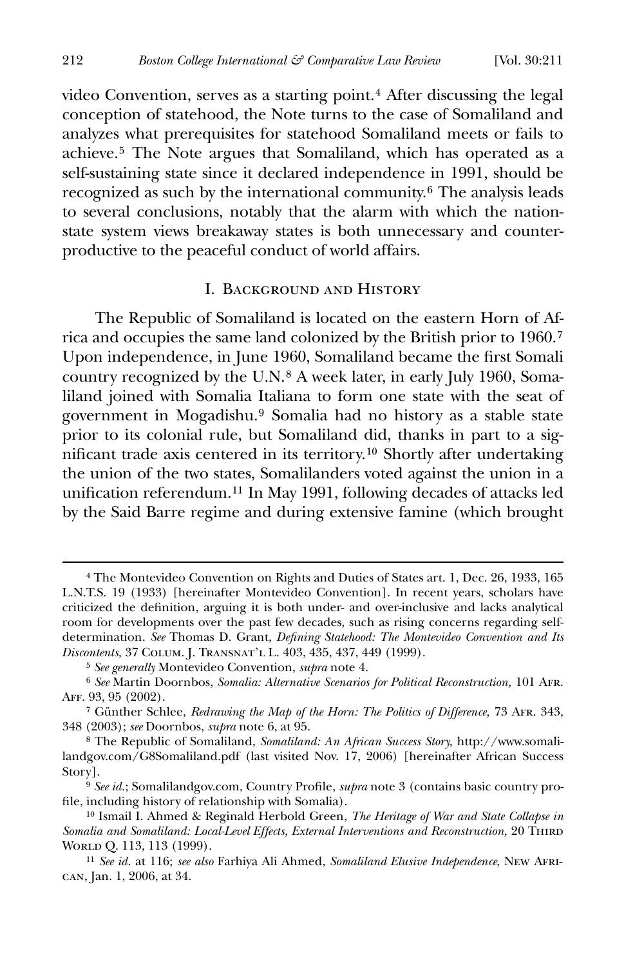video Convention, serves as a starting point.[4](#page-2-0) After discussing the legal conception of statehood, the Note turns to the case of Somaliland and analyzes what prerequisites for statehood Somaliland meets or fails to achieve.[5](#page-2-1) The Note argues that Somaliland, which has operated as a self-sustaining state since it declared independence in 1991, should be recognized as such by the international community.[6](#page-2-2) The analysis leads to several conclusions, notably that the alarm with which the nationstate system views breakaway states is both unnecessary and counterproductive to the peaceful conduct of world affairs.

#### I. Background and History

 The Republic of Somaliland is located on the eastern Horn of Africa and occupies the same land colonized by the British prior to 1960.[7](#page-2-3) Upon independence, in June 1960, Somaliland became the first Somali country recognized by the U.N.[8](#page-2-4) A week later, in early July 1960, Somaliland joined with Somalia Italiana to form one state with the seat of government in Mogadishu.[9](#page-2-5) Somalia had no history as a stable state prior to its colonial rule, but Somaliland did, thanks in part to a sig-nificant trade axis centered in its territory.<sup>[10](#page-2-6)</sup> Shortly after undertaking the union of the two states, Somalilanders voted against the union in a unification referendum.<sup>[11](#page-2-7)</sup> In May 1991, following decades of attacks led by the Said Barre regime and during extensive famine (which brought

<span id="page-2-0"></span><sup>4</sup> The Montevideo Convention on Rights and Duties of States art. 1, Dec. 26, 1933, 165 L.N.T.S. 19 (1933) [hereinafter Montevideo Convention]. In recent years, scholars have criticized the definition, arguing it is both under- and over-inclusive and lacks analytical room for developments over the past few decades, such as rising concerns regarding selfdetermination. See Thomas D. Grant, *Defining Statehood: The Montevideo Convention and Its Discontents,* 37 Colum. J. Transnat'l L. 403, 435, 437, 449 (1999).

<sup>5</sup> *See generally* Montevideo Convention, *supra* note 4.

<span id="page-2-2"></span><span id="page-2-1"></span><sup>6</sup> *See* Martin Doornbos, *Somalia: Alternative Scenarios for Political Reconstruction,* 101 Afr. Aff. 93, 95 (2002).

<span id="page-2-3"></span><sup>7</sup> Günther Schlee, *Redrawing the Map of the Horn: The Politics of Difference,* 73 Afr. 343, 348 (2003); *see* Doornbos, *supra* note 6, at 95.

<span id="page-2-4"></span><sup>8</sup> The Republic of Somaliland, *Somaliland: An African Success Story,* http://www.somalilandgov.com/G8Somaliland.pdf (last visited Nov. 17, 2006) [hereinafter African Success Story].

<span id="page-2-5"></span><sup>&</sup>lt;sup>9</sup> See id.; Somalilandgov.com, Country Profile, *supra* note 3 (contains basic country profile, including history of relationship with Somalia).

<span id="page-2-6"></span><sup>10</sup> Ismail I. Ahmed & Reginald Herbold Green, *The Heritage of War and State Collapse in Somalia and Somaliland: Local-Level Effects, External Interventions and Reconstruction,* 20 THIRD WORLD Q. 113, 113 (1999).

<span id="page-2-7"></span><sup>11</sup> *See id.* at 116; *see also* Farhiya Ali Ahmed, *Somaliland Elusive Independence*, New African, Jan. 1, 2006, at 34.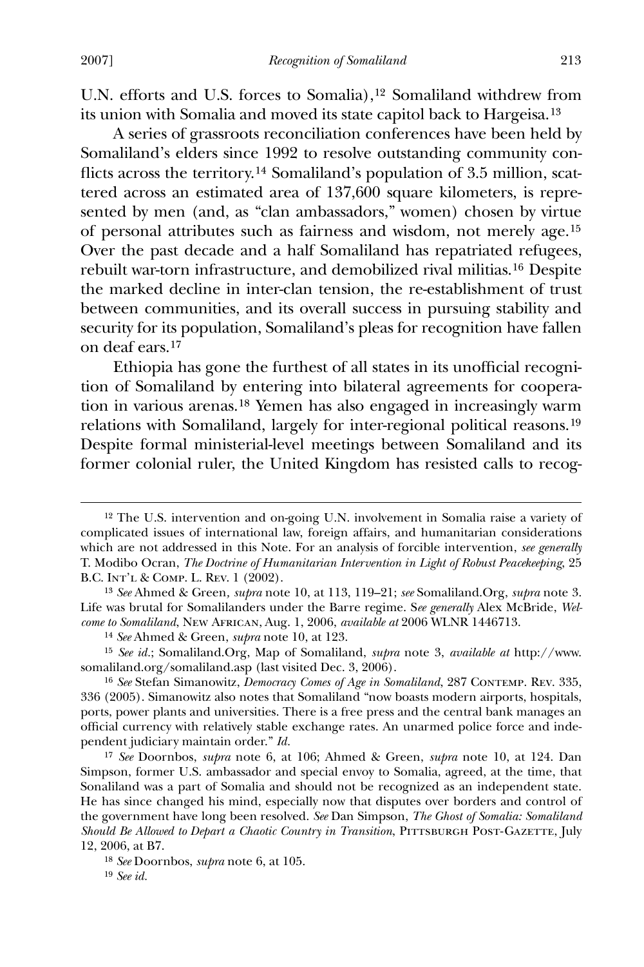-

U.N. efforts and U.S. forces to Somalia),<sup>[12](#page-3-0)</sup> Somaliland withdrew from its union with Somalia and moved its state capitol back to Hargeisa.[13](#page-3-1)

 A series of grassroots reconciliation conferences have been held by Somaliland's elders since 1992 to resolve outstanding community con-flicts across the territory.<sup>[14](#page-3-2)</sup> Somaliland's population of 3.5 million, scattered across an estimated area of 137,600 square kilometers, is represented by men (and, as "clan ambassadors," women) chosen by virtue of personal attributes such as fairness and wisdom, not merely age.[15](#page-3-3) Over the past decade and a half Somaliland has repatriated refugees, rebuilt war-torn infrastructure, and demobilized rival militias.[16](#page-3-4) Despite the marked decline in inter-clan tension, the re-establishment of trust between communities, and its overall success in pursuing stability and security for its population, Somaliland's pleas for recognition have fallen on deaf ears.[17](#page-3-5)

Ethiopia has gone the furthest of all states in its unofficial recognition of Somaliland by entering into bilateral agreements for cooperation in various arenas.[18](#page-3-6) Yemen has also engaged in increasingly warm relations with Somaliland, largely for inter-regional political reasons.[19](#page-3-7) Despite formal ministerial-level meetings between Somaliland and its former colonial ruler, the United Kingdom has resisted calls to recog-

<span id="page-3-0"></span><sup>12</sup> The U.S. intervention and on-going U.N. involvement in Somalia raise a variety of complicated issues of international law, foreign affairs, and humanitarian considerations which are not addressed in this Note. For an analysis of forcible intervention, *see generally* T. Modibo Ocran, *The Doctrine of Humanitarian Intervention in Light of Robust Peacekeeping*, 25 B.C. Int'l & Comp. L. Rev. 1 (2002).

<span id="page-3-1"></span><sup>13</sup> *See* Ahmed & Green*, supra* note 10, at 113, 119–21; *see* Somaliland.Org, *supra* note 3. Life was brutal for Somalilanders under the Barre regime. S*ee generally* Alex McBride, *Welcome to Somaliland*, New African, Aug. 1, 2006, *available at* 2006 WLNR 1446713.

<sup>14</sup> *See* Ahmed & Green, *supra* note 10, at 123.

<span id="page-3-3"></span><span id="page-3-2"></span><sup>15</sup> *See id.*; Somaliland.Org, Map of Somaliland, *supra* note 3, *available at* http://www. somaliland.org/somaliland.asp (last visited Dec. 3, 2006).

<span id="page-3-4"></span><sup>16</sup> *See* Stefan Simanowitz, *Democracy Comes of Age in Somaliland*, 287 Contemp. Rev. 335, 336 (2005). Simanowitz also notes that Somaliland "now boasts modern airports, hospitals, ports, power plants and universities. There is a free press and the central bank manages an official currency with relatively stable exchange rates. An unarmed police force and independent judiciary maintain order." *Id.*

<span id="page-3-5"></span><sup>17</sup> *See* Doornbos, *supra* note 6, at 106; Ahmed & Green, *supra* note 10, at 124. Dan Simpson, former U.S. ambassador and special envoy to Somalia, agreed, at the time, that Sonaliland was a part of Somalia and should not be recognized as an independent state. He has since changed his mind, especially now that disputes over borders and control of the government have long been resolved. *See* Dan Simpson, *The Ghost of Somalia: Somaliland Should Be Allowed to Depart a Chaotic Country in Transition*, PITTSBURGH POST-GAZETTE, July 12, 2006, at B7.

<span id="page-3-7"></span><span id="page-3-6"></span><sup>18</sup> *See* Doornbos, *supra* note 6, at 105.

<sup>19</sup> *See id.*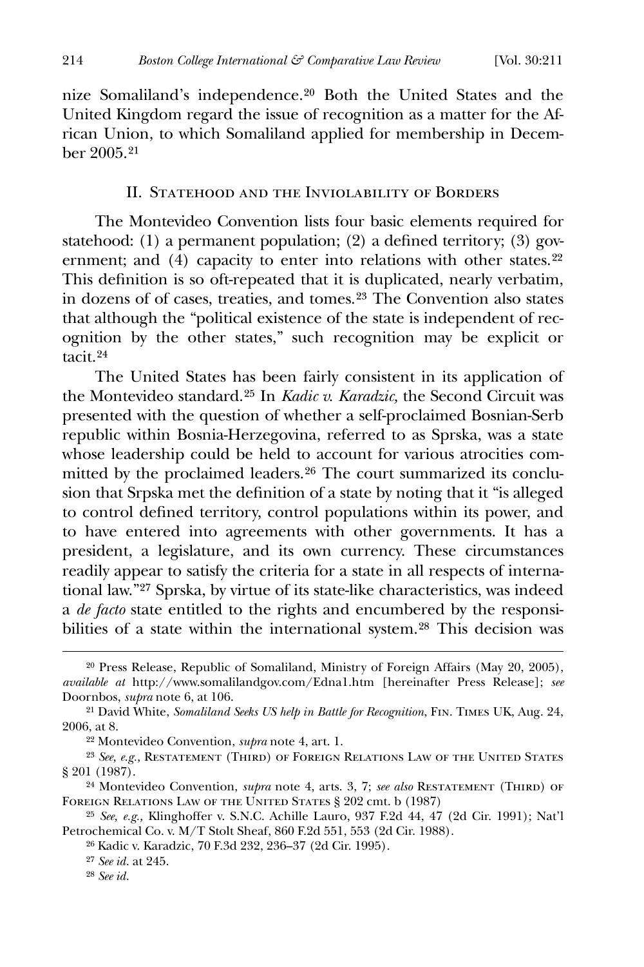nize Somaliland's independence.[20](#page-4-0) Both the United States and the United Kingdom regard the issue of recognition as a matter for the African Union, to which Somaliland applied for membership in December 2005.[21](#page-4-1)

#### II. Statehood and the Inviolability of Borders

 The Montevideo Convention lists four basic elements required for statehood: (1) a permanent population; (2) a defined territory; (3) gov-ernment; and (4) capacity to enter into relations with other states.<sup>[22](#page-4-2)</sup> This definition is so oft-repeated that it is duplicated, nearly verbatim, in dozens of of cases, treaties, and tomes.[23](#page-4-3) The Convention also states that although the "political existence of the state is independent of recognition by the other states," such recognition may be explicit or tacit.[24](#page-4-4)

 The United States has been fairly consistent in its application of the Montevideo standard.[25](#page-4-5) In *Kadic v. Karadzic,* the Second Circuit was presented with the question of whether a self-proclaimed Bosnian-Serb republic within Bosnia-Herzegovina, referred to as Sprska, was a state whose leadership could be held to account for various atrocities committed by the proclaimed leaders.[26](#page-4-6) The court summarized its conclusion that Srpska met the definition of a state by noting that it "is alleged to control defined territory, control populations within its power, and to have entered into agreements with other governments. It has a president, a legislature, and its own currency. These circumstances readily appear to satisfy the criteria for a state in all respects of international law."[27](#page-4-7) Sprska, by virtue of its state-like characteristics, was indeed a *de facto* state entitled to the rights and encumbered by the responsibilities of a state within the international system.[28](#page-4-8) This decision was

<span id="page-4-0"></span><sup>20</sup> Press Release, Republic of Somaliland, Ministry of Foreign Affairs (May 20, 2005), *available at* http://www.somalilandgov.com/Edna1.htm [hereinafter Press Release]; *see* Doornbos, *supra* note 6, at 106.

<span id="page-4-1"></span><sup>21</sup> David White, *Somaliland Seeks US help in Battle for Recognition*, Fin. Times UK, Aug. 24, 2006, at 8.

<sup>22</sup> Montevideo Convention, *supra* note 4, art. 1.

<span id="page-4-3"></span><span id="page-4-2"></span><sup>23</sup> *See, e.g.,* Restatement (Third) of Foreign Relations Law of the United States § 201 (1987).

<span id="page-4-4"></span><sup>&</sup>lt;sup>24</sup> Montevideo Convention, *supra* note 4, arts. 3, 7; *see also* RESTATEMENT (THIRD) OF FOREIGN RELATIONS LAW OF THE UNITED STATES § 202 cmt. b (1987)

<span id="page-4-8"></span><span id="page-4-7"></span><span id="page-4-6"></span><span id="page-4-5"></span><sup>25</sup> *See, e.g.,* Klinghoffer v. S.N.C. Achille Lauro, 937 F.2d 44, 47 (2d Cir. 1991); Nat'l Petrochemical Co. v. M/T Stolt Sheaf, 860 F.2d 551, 553 (2d Cir. 1988).

<sup>26</sup> Kadic v. Karadzic, 70 F.3d 232, 236–37 (2d Cir. 1995).

<sup>27</sup> *See id.* at 245.

<sup>28</sup> *See id.*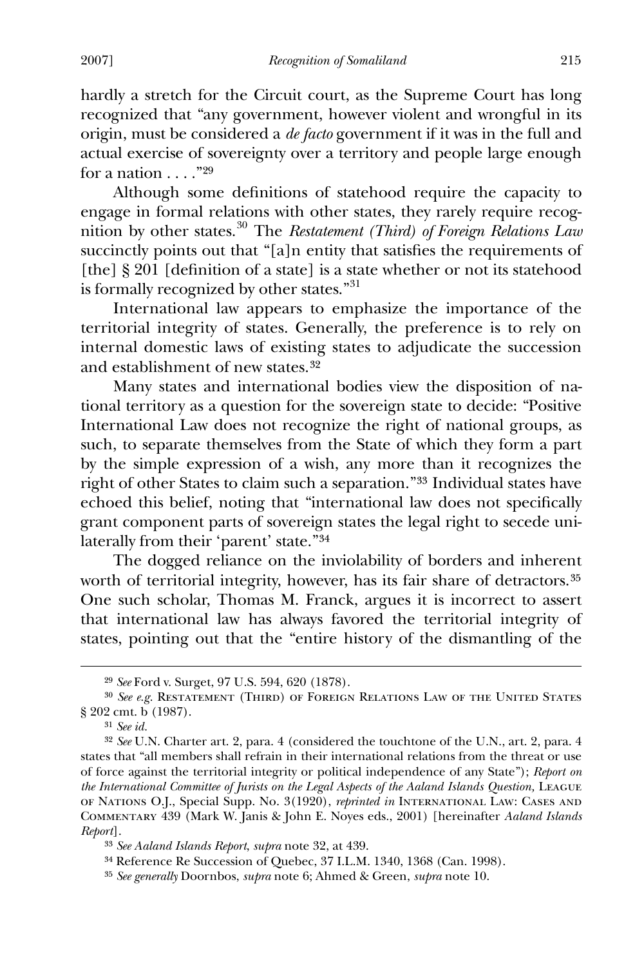hardly a stretch for the Circuit court, as the Supreme Court has long recognized that "any government, however violent and wrongful in its origin, must be considered a *de facto* government if it was in the full and actual exercise of sovereignty over a territory and people large enough for a nation  $\dots$ ."[29](#page-5-0)

Although some definitions of statehood require the capacity to engage in formal relations with other states, they rarely require recognition by other states.[30](#page-5-1) The *Restatement (Third) of Foreign Relations Law* succinctly points out that "[a]n entity that satisfies the requirements of [the] § 201 [definition of a state] is a state whether or not its statehood is formally recognized by other states."<sup>[31](#page-5-2)</sup>

 International law appears to emphasize the importance of the territorial integrity of states. Generally, the preference is to rely on internal domestic laws of existing states to adjudicate the succession and establishment of new states.[32](#page-5-3)

 Many states and international bodies view the disposition of national territory as a question for the sovereign state to decide: "Positive International Law does not recognize the right of national groups, as such, to separate themselves from the State of which they form a part by the simple expression of a wish, any more than it recognizes the right of other States to claim such a separation."[33](#page-5-4) Individual states have echoed this belief, noting that "international law does not specifically grant component parts of sovereign states the legal right to secede unilaterally from their 'parent' state."[34](#page-5-5)

 The dogged reliance on the inviolability of borders and inherent worth of territorial integrity, however, has its fair share of detractors.<sup>[35](#page-5-6)</sup> One such scholar, Thomas M. Franck, argues it is incorrect to assert that international law has always favored the territorial integrity of states, pointing out that the "entire history of the dismantling of the

<u>.</u>

<sup>29</sup> *See* Ford v. Surget, 97 U.S. 594, 620 (1878).

<span id="page-5-1"></span><span id="page-5-0"></span><sup>30</sup> *See e.g.* Restatement (Third) of Foreign Relations Law of the United States § 202 cmt. b (1987).

<sup>31</sup> *See id.*

<span id="page-5-3"></span><span id="page-5-2"></span><sup>32</sup> *See* U.N. Charter art. 2, para. 4 (considered the touchtone of the U.N., art. 2, para. 4 states that "all members shall refrain in their international relations from the threat or use of force against the territorial integrity or political independence of any State"); *Report on the International Committee of Jurists on the Legal Aspects of the Aaland Islands Question,* League of Nations O.J., Special Supp. No. 3(1920), *reprinted in* International Law: Cases and Commentary 439 (Mark W. Janis & John E. Noyes eds., 2001) [hereinafter *Aaland Islands Report*].

<span id="page-5-4"></span><sup>33</sup> *See Aaland Islands Report*, *supra* note 32, at 439.

<span id="page-5-5"></span><sup>34</sup> Reference Re Succession of Quebec, 37 I.L.M. 1340, 1368 (Can. 1998).

<span id="page-5-6"></span><sup>35</sup> *See generally* Doornbos, *supra* note 6; Ahmed & Green, *supra* note 10.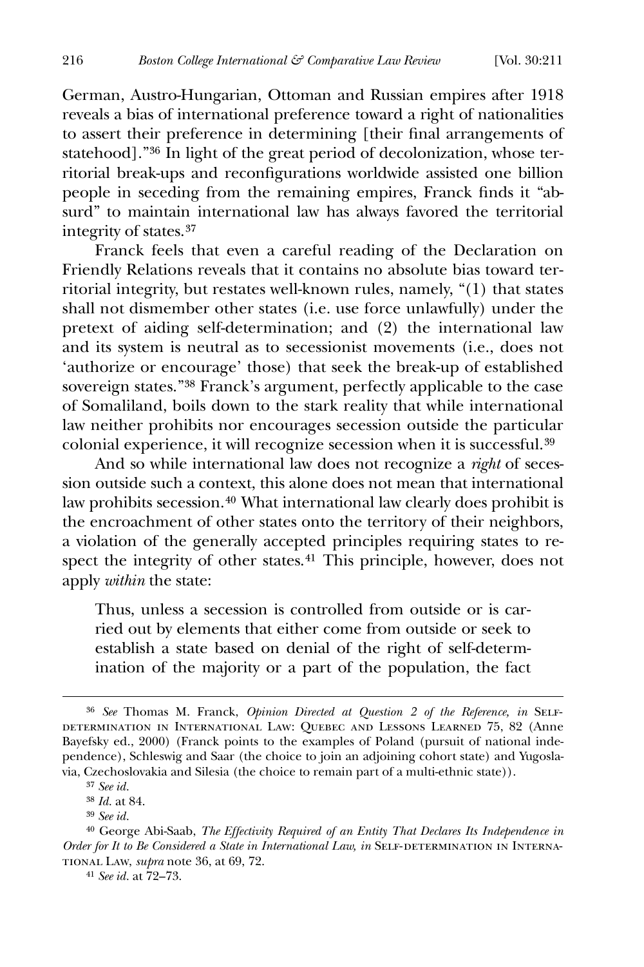German, Austro-Hungarian, Ottoman and Russian empires after 1918 reveals a bias of international preference toward a right of nationalities to assert their preference in determining [their final arrangements of statehood]."[36](#page-6-0) In light of the great period of decolonization, whose territorial break-ups and reconfigurations worldwide assisted one billion people in seceding from the remaining empires, Franck finds it "absurd" to maintain international law has always favored the territorial integrity of states.[37](#page-6-1)

 Franck feels that even a careful reading of the Declaration on Friendly Relations reveals that it contains no absolute bias toward territorial integrity, but restates well-known rules, namely, "(1) that states shall not dismember other states (i.e. use force unlawfully) under the pretext of aiding self-determination; and (2) the international law and its system is neutral as to secessionist movements (i.e., does not 'authorize or encourage' those) that seek the break-up of established sovereign states."[38](#page-6-2) Franck's argument, perfectly applicable to the case of Somaliland, boils down to the stark reality that while international law neither prohibits nor encourages secession outside the particular colonial experience, it will recognize secession when it is successful.[39](#page-6-3)

 And so while international law does not recognize a *right* of secession outside such a context, this alone does not mean that international law prohibits secession.[40](#page-6-4) What international law clearly does prohibit is the encroachment of other states onto the territory of their neighbors, a violation of the generally accepted principles requiring states to re-spect the integrity of other states.<sup>[41](#page-6-5)</sup> This principle, however, does not apply *within* the state:

Thus, unless a secession is controlled from outside or is carried out by elements that either come from outside or seek to establish a state based on denial of the right of self-determination of the majority or a part of the population, the fact

<span id="page-6-0"></span><sup>&</sup>lt;sup>36</sup> See Thomas M. Franck, *Opinion Directed at Question 2 of the Reference*, *in* SELFdetermination in International Law: Quebec and Lessons Learned 75, 82 (Anne Bayefsky ed., 2000) (Franck points to the examples of Poland (pursuit of national independence), Schleswig and Saar (the choice to join an adjoining cohort state) and Yugoslavia, Czechoslovakia and Silesia (the choice to remain part of a multi-ethnic state)).

<sup>37</sup> *See id.*

<sup>38</sup> *Id.* at 84.

<sup>39</sup> *See id.*

<span id="page-6-5"></span><span id="page-6-4"></span><span id="page-6-3"></span><span id="page-6-2"></span><span id="page-6-1"></span><sup>40</sup> George Abi-Saab, *The Effectivity Required of an Entity That Declares Its Independence in Order for It to Be Considered a State in International Law, in SELF-DETERMINATION IN INTERNA*tional Law, *supra* note 36, at 69, 72.

<sup>41</sup> *See id.* at 72–73.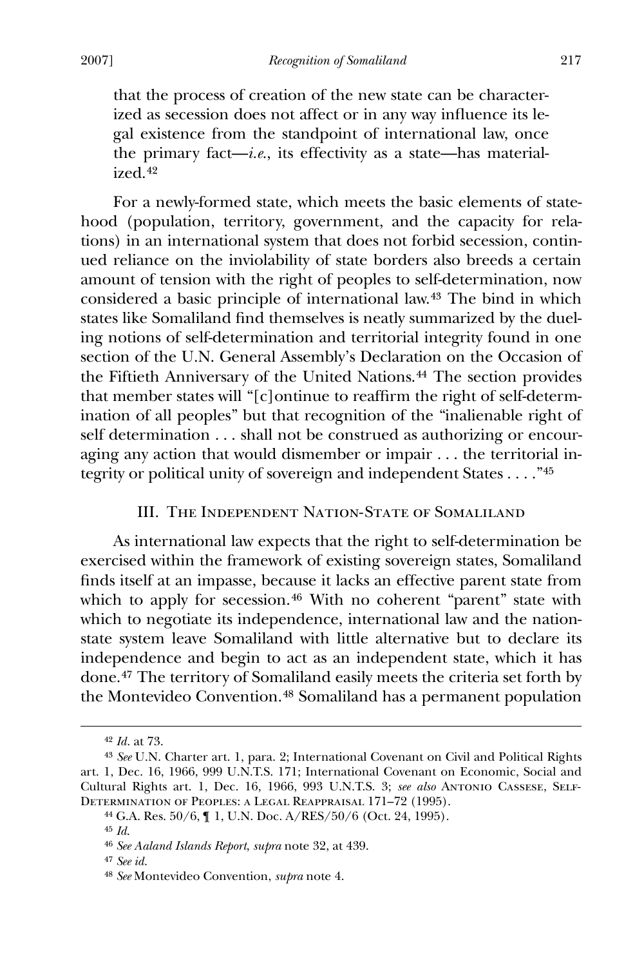that the process of creation of the new state can be characterized as secession does not affect or in any way influence its legal existence from the standpoint of international law, once the primary fact—*i.e.*, its effectivity as a state—has materialized.[42](#page-7-0)

 For a newly-formed state, which meets the basic elements of statehood (population, territory, government, and the capacity for relations) in an international system that does not forbid secession, continued reliance on the inviolability of state borders also breeds a certain amount of tension with the right of peoples to self-determination, now considered a basic principle of international law.[43](#page-7-1) The bind in which states like Somaliland find themselves is neatly summarized by the dueling notions of self-determination and territorial integrity found in one section of the U.N. General Assembly's Declaration on the Occasion of the Fiftieth Anniversary of the United Nations.[44](#page-7-2) The section provides that member states will " $[c]$  ontinue to reaffirm the right of self-determination of all peoples" but that recognition of the "inalienable right of self determination . . . shall not be construed as authorizing or encouraging any action that would dismember or impair . . . the territorial integrity or political unity of sovereign and independent States . . . ."[45](#page-7-3)

### III. The Independent Nation-State of Somaliland

 As international law expects that the right to self-determination be exercised within the framework of existing sovereign states, Somaliland finds itself at an impasse, because it lacks an effective parent state from which to apply for secession.<sup>[46](#page-7-4)</sup> With no coherent "parent" state with which to negotiate its independence, international law and the nationstate system leave Somaliland with little alternative but to declare its independence and begin to act as an independent state, which it has done.[47](#page-7-5) The territory of Somaliland easily meets the criteria set forth by the Montevideo Convention.[48](#page-7-6) Somaliland has a permanent population

<sup>42</sup> *Id.* at 73.

<span id="page-7-2"></span><span id="page-7-1"></span><span id="page-7-0"></span><sup>43</sup> *See* U.N. Charter art. 1, para. 2; International Covenant on Civil and Political Rights art. 1, Dec. 16, 1966, 999 U.N.T.S. 171; International Covenant on Economic, Social and Cultural Rights art. 1, Dec. 16, 1966, 993 U.N.T.S. 3; *see also* Antonio Cassese, Self-Determination of Peoples: a Legal Reappraisal 171–72 (1995).

<sup>44</sup> G.A. Res. 50/6, ¶ 1, U.N. Doc. A/RES/50/6 (Oct. 24, 1995).

<span id="page-7-3"></span><sup>45</sup> *Id*.

<span id="page-7-5"></span><span id="page-7-4"></span><sup>46</sup> *See Aaland Islands Report*, *supra* note 32, at 439.

<sup>47</sup> *See id.*

<span id="page-7-6"></span><sup>48</sup> *See* Montevideo Convention, *supra* note 4.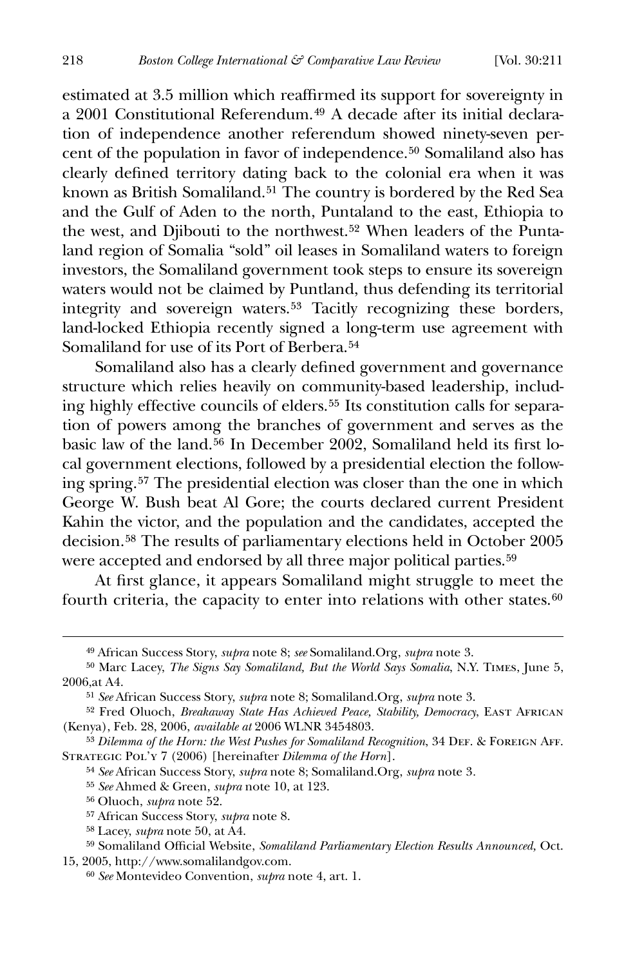estimated at 3.5 million which reaffirmed its support for sovereignty in a 2001 Constitutional Referendum.[49](#page-8-0) A decade after its initial declaration of independence another referendum showed ninety-seven percent of the population in favor of independence.[50](#page-8-1) Somaliland also has clearly defined territory dating back to the colonial era when it was known as British Somaliland.<sup>[51](#page-8-2)</sup> The country is bordered by the Red Sea and the Gulf of Aden to the north, Puntaland to the east, Ethiopia to the west, and Djibouti to the northwest.<sup>[52](#page-8-3)</sup> When leaders of the Puntaland region of Somalia "sold" oil leases in Somaliland waters to foreign investors, the Somaliland government took steps to ensure its sovereign waters would not be claimed by Puntland, thus defending its territorial integrity and sovereign waters.[53](#page-8-4) Tacitly recognizing these borders, land-locked Ethiopia recently signed a long-term use agreement with Somaliland for use of its Port of Berbera.<sup>[54](#page-8-5)</sup>

Somaliland also has a clearly defined government and governance structure which relies heavily on community-based leadership, including highly effective councils of elders.[55](#page-8-6) Its constitution calls for separation of powers among the branches of government and serves as the basic law of the land.<sup>[56](#page-8-7)</sup> In December 2002, Somaliland held its first local government elections, followed by a presidential election the following spring.[57](#page-8-8) The presidential election was closer than the one in which George W. Bush beat Al Gore; the courts declared current President Kahin the victor, and the population and the candidates, accepted the decision.[58](#page-8-9) The results of parliamentary elections held in October 2005 were accepted and endorsed by all three major political parties.<sup>[59](#page-8-10)</sup>

At first glance, it appears Somaliland might struggle to meet the fourth criteria, the capacity to enter into relations with other states. $60$ 

<sup>49</sup> African Success Story, *supra* note 8; *see* Somaliland.Org, *supra* note 3.

<span id="page-8-1"></span><span id="page-8-0"></span><sup>50</sup> Marc Lacey, *The Signs Say Somaliland, But the World Says Somalia*, N.Y. Times, June 5, 2006,at A4.

<sup>51</sup> *See* African Success Story, *supra* note 8; Somaliland.Org, *supra* note 3.

<span id="page-8-3"></span><span id="page-8-2"></span><sup>52</sup> Fred Oluoch, *Breakaway State Has Achieved Peace, Stability, Democracy*, East African (Kenya), Feb. 28, 2006, *available at* 2006 WLNR 3454803.

<span id="page-8-6"></span><span id="page-8-5"></span><span id="page-8-4"></span><sup>53</sup> *Dilemma of the Horn: the West Pushes for Somaliland Recognition*, 34 DEF. & FOREIGN AFF. STRATEGIC POL'Y 7 (2006) [hereinafter *Dilemma of the Horn*].

<sup>54</sup> *See* African Success Story, *supra* note 8; Somaliland.Org, *supra* note 3*.*

<sup>55</sup> *See* Ahmed & Green, *supra* note 10, at 123.

<sup>56</sup> Oluoch, *supra* note 52.

<sup>57</sup> African Success Story, *supra* note 8.

<sup>58</sup> Lacey, *supra* note 50, at A4.

<span id="page-8-11"></span><span id="page-8-10"></span><span id="page-8-9"></span><span id="page-8-8"></span><span id="page-8-7"></span><sup>59</sup> Somaliland Official Website, *Somaliland Parliamentary Election Results Announced*, Oct. 15, 2005, http://www.somalilandgov.com.

<sup>60</sup> *See* Montevideo Convention, *supra* note 4, art. 1.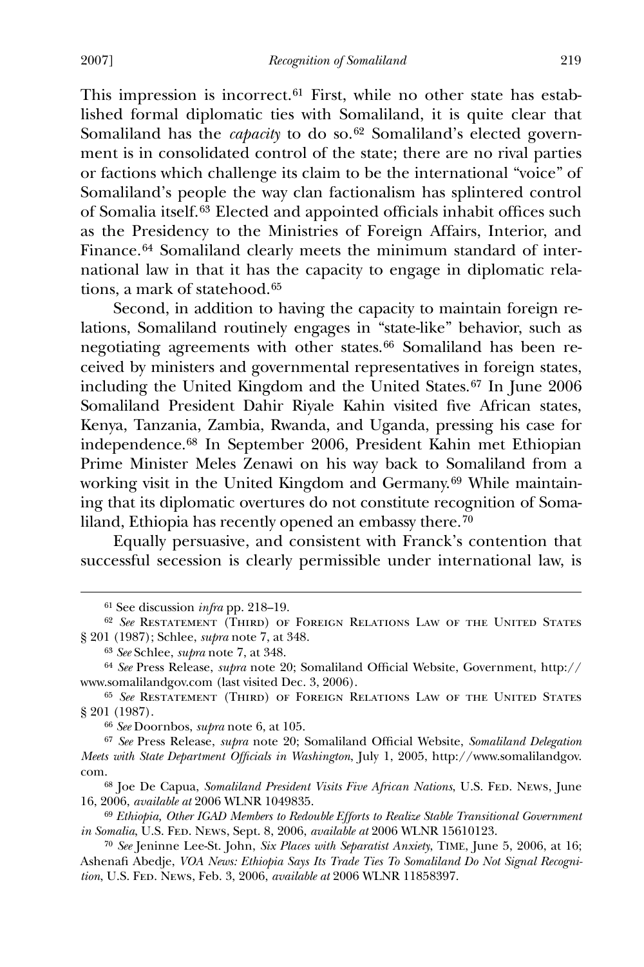This impression is incorrect.<sup>[61](#page-9-0)</sup> First, while no other state has established formal diplomatic ties with Somaliland, it is quite clear that Somaliland has the *capacity* to do so.<sup>[62](#page-9-1)</sup> Somaliland's elected government is in consolidated control of the state; there are no rival parties or factions which challenge its claim to be the international "voice" of Somaliland's people the way clan factionalism has splintered control of Somalia itself.<sup>[63](#page-9-2)</sup> Elected and appointed officials inhabit offices such as the Presidency to the Ministries of Foreign Affairs, Interior, and Finance.<sup>[64](#page-9-3)</sup> Somaliland clearly meets the minimum standard of international law in that it has the capacity to engage in diplomatic rela-tions, a mark of statehood.<sup>[65](#page-9-4)</sup>

 Second, in addition to having the capacity to maintain foreign relations, Somaliland routinely engages in "state-like" behavior, such as negotiating agreements with other states.[66](#page-9-5) Somaliland has been received by ministers and governmental representatives in foreign states, including the United Kingdom and the United States.[67](#page-9-6) In June 2006 Somaliland President Dahir Riyale Kahin visited five African states, Kenya, Tanzania, Zambia, Rwanda, and Uganda, pressing his case for independence.[68](#page-9-7) In September 2006, President Kahin met Ethiopian Prime Minister Meles Zenawi on his way back to Somaliland from a working visit in the United Kingdom and Germany.[69](#page-9-8) While maintaining that its diplomatic overtures do not constitute recognition of Somaliland, Ethiopia has recently opened an embassy there.[70](#page-9-9)

 Equally persuasive, and consistent with Franck's contention that successful secession is clearly permissible under international law, is

<sup>&</sup>lt;sup>61</sup> See discussion *infra* pp. 218-19.

<span id="page-9-1"></span><span id="page-9-0"></span><sup>62</sup> *See* Restatement (Third) of Foreign Relations Law of the United States § 201 (1987); Schlee, *supra* note 7, at 348.

<sup>63</sup> *See* Schlee, *supra* note 7, at 348.

<span id="page-9-3"></span><span id="page-9-2"></span><sup>&</sup>lt;sup>64</sup> See Press Release, *supra* note 20; Somaliland Official Website, Government, http:// www.somalilandgov.com (last visited Dec. 3, 2006).

<span id="page-9-4"></span><sup>65</sup> *See* Restatement (Third) of Foreign Relations Law of the United States § 201 (1987).

<sup>66</sup> *See* Doornbos, *supra* note 6, at 105.

<span id="page-9-6"></span><span id="page-9-5"></span><sup>&</sup>lt;sup>67</sup> See Press Release, *supra* note 20; Somaliland Official Website, Somaliland Delegation *Meets with State Department Officials in Washington*, July 1, 2005, http://www.somalilandgov. com.

<span id="page-9-7"></span><sup>&</sup>lt;sup>68</sup> Joe De Capua, *Somaliland President Visits Five African Nations*, U.S. FED. NEws, June 16, 2006, *available at* 2006 WLNR 1049835.

<span id="page-9-8"></span><sup>69</sup> *Ethiopia, Other IGAD Members to Redouble Efforts to Realize Stable Transitional Government in Somalia*, U.S. Fed. News, Sept. 8, 2006, *available at* 2006 WLNR 15610123.

<span id="page-9-9"></span><sup>70</sup> *See* Jeninne Lee-St. John, *Six Places with Separatist Anxiety*, TIME, June 5, 2006, at 16; Ashenafi Abedje, *VOA News: Ethiopia Says Its Trade Ties To Somaliland Do Not Signal Recognition*, U.S. Fed. News, Feb. 3, 2006, *available at* 2006 WLNR 11858397.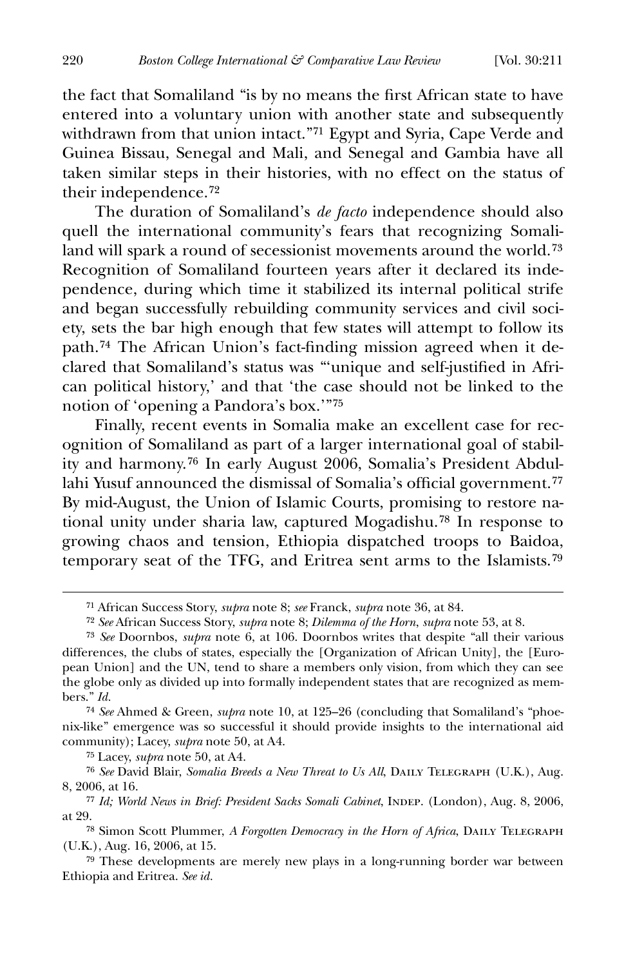the fact that Somaliland "is by no means the first African state to have entered into a voluntary union with another state and subsequently withdrawn from that union intact."[71](#page-10-0) Egypt and Syria, Cape Verde and Guinea Bissau, Senegal and Mali, and Senegal and Gambia have all taken similar steps in their histories, with no effect on the status of their independence.[72](#page-10-1)

 The duration of Somaliland's *de facto* independence should also quell the international community's fears that recognizing Somaliland will spark a round of secessionist movements around the world.[73](#page-10-2) Recognition of Somaliland fourteen years after it declared its independence, during which time it stabilized its internal political strife and began successfully rebuilding community services and civil society, sets the bar high enough that few states will attempt to follow its path.<sup>[74](#page-10-3)</sup> The African Union's fact-finding mission agreed when it declared that Somaliland's status was "'unique and self-justified in African political history,' and that 'the case should not be linked to the notion of 'opening a Pandora's box.'"[75](#page-10-4)

 Finally, recent events in Somalia make an excellent case for recognition of Somaliland as part of a larger international goal of stability and harmony.[76](#page-10-5) In early August 2006, Somalia's President Abdul-lahi Yusuf announced the dismissal of Somalia's official government.<sup>[77](#page-10-6)</sup> By mid-August, the Union of Islamic Courts, promising to restore national unity under sharia law, captured Mogadishu.[78](#page-10-7) In response to growing chaos and tension, Ethiopia dispatched troops to Baidoa, temporary seat of the TFG, and Eritrea sent arms to the Islamists.[79](#page-10-8)

<span id="page-10-3"></span>74 *See* Ahmed & Green, *supra* note 10, at 125–26 (concluding that Somaliland's "phoenix-like" emergence was so successful it should provide insights to the international aid community); Lacey, *supra* note 50, at A4.

75 Lacey, *supra* note 50, at A4.

<span id="page-10-5"></span><span id="page-10-4"></span>76 *See* David Blair, *Somalia Breeds a New Threat to Us All*, Daily Telegraph (U.K.), Aug. 8, 2006, at 16.

<sup>71</sup> African Success Story, *supra* note 8; *see* Franck, *supra* note 36, at 84.

<sup>72</sup> *See* African Success Story, *supra* note 8; *Dilemma of the Horn*, *supra* note 53, at 8.

<span id="page-10-2"></span><span id="page-10-1"></span><span id="page-10-0"></span><sup>73</sup> *See* Doornbos, *supra* note 6, at 106. Doornbos writes that despite "all their various differences, the clubs of states, especially the [Organization of African Unity], the [European Union] and the UN, tend to share a members only vision, from which they can see the globe only as divided up into formally independent states that are recognized as members." *Id.*

<span id="page-10-6"></span><sup>&</sup>lt;sup>77</sup> Id; World News in Brief: President Sacks Somali Cabinet, INDEP. (London), Aug. 8, 2006, at 29.

<span id="page-10-7"></span><sup>&</sup>lt;sup>78</sup> Simon Scott Plummer, *A Forgotten Democracy in the Horn of Africa*, DAILY TELEGRAPH (U.K.), Aug. 16, 2006, at 15.

<span id="page-10-8"></span><sup>79</sup> These developments are merely new plays in a long-running border war between Ethiopia and Eritrea. *See id.*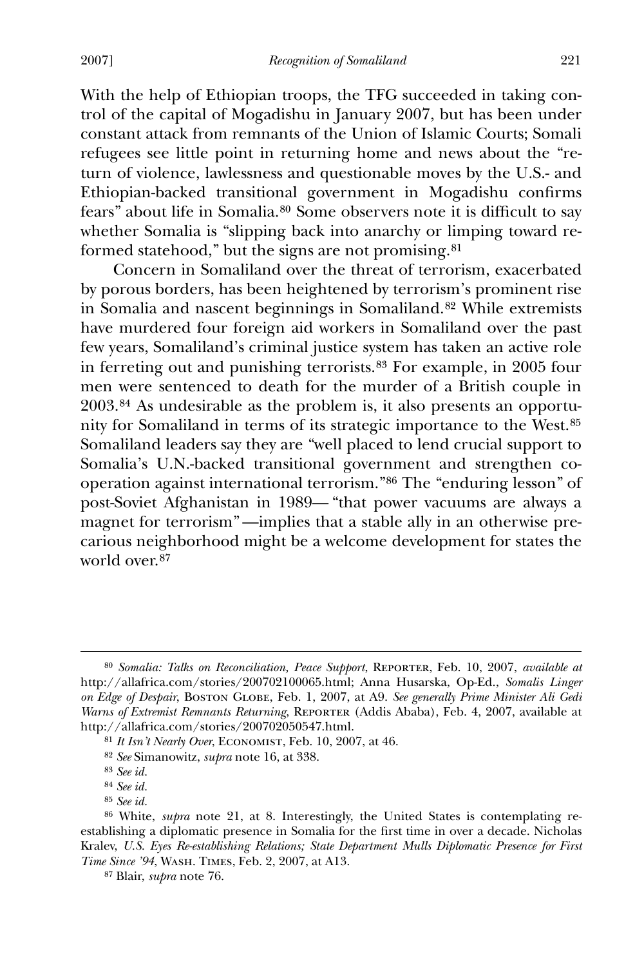With the help of Ethiopian troops, the TFG succeeded in taking control of the capital of Mogadishu in January 2007, but has been under constant attack from remnants of the Union of Islamic Courts; Somali refugees see little point in returning home and news about the "return of violence, lawlessness and questionable moves by the U.S.- and Ethiopian-backed transitional government in Mogadishu confirms fears" about life in Somalia.<sup>[80](#page-11-0)</sup> Some observers note it is difficult to say whether Somalia is "slipping back into anarchy or limping toward reformed statehood," but the signs are not promising.[81](#page-11-1)

 Concern in Somaliland over the threat of terrorism, exacerbated by porous borders, has been heightened by terrorism's prominent rise in Somalia and nascent beginnings in Somaliland.[82](#page-11-2) While extremists have murdered four foreign aid workers in Somaliland over the past few years, Somaliland's criminal justice system has taken an active role in ferreting out and punishing terrorists.[83](#page-11-3) For example, in 2005 four men were sentenced to death for the murder of a British couple in 2003.[84](#page-11-4) As undesirable as the problem is, it also presents an opportunity for Somaliland in terms of its strategic importance to the West.[85](#page-11-5) Somaliland leaders say they are "well placed to lend crucial support to Somalia's U.N.-backed transitional government and strengthen cooperation against international terrorism."[86](#page-11-6) The "enduring lesson" of post-Soviet Afghanistan in 1989— "that power vacuums are always a magnet for terrorism" —implies that a stable ally in an otherwise precarious neighborhood might be a welcome development for states the world over.<sup>[87](#page-11-7)</sup>

<span id="page-11-0"></span><sup>80</sup> *Somalia: Talks on Reconciliation, Peace Support*, Reporter, Feb. 10, 2007, *available at* http://allafrica.com/stories/200702100065.html; Anna Husarska, Op-Ed., *Somalis Linger on Edge of Despair*, Boston Globe, Feb. 1, 2007, at A9. *See generally Prime Minister Ali Gedi Warns of Extremist Remnants Returning*, REPORTER (Addis Ababa), Feb. 4, 2007, available at http://allafrica.com/stories/200702050547.html.

<span id="page-11-1"></span><sup>81</sup> *It Isn't Nearly Over*, Economist, Feb. 10, 2007, at 46.

<sup>82</sup> *See* Simanowitz, *supra* note 16, at 338.

<sup>83</sup> *See id.*

<sup>84</sup> *See id.*

<sup>85</sup> *See id.*

<span id="page-11-7"></span><span id="page-11-6"></span><span id="page-11-5"></span><span id="page-11-4"></span><span id="page-11-3"></span><span id="page-11-2"></span><sup>86</sup> White, *supra* note 21, at 8. Interestingly, the United States is contemplating reestablishing a diplomatic presence in Somalia for the first time in over a decade. Nicholas Kralev, *U.S. Eyes Re-establishing Relations; State Department Mulls Diplomatic Presence for First Time Since '94*, Wash. Times, Feb. 2, 2007, at A13.

<sup>87</sup> Blair, *supra* note 76.